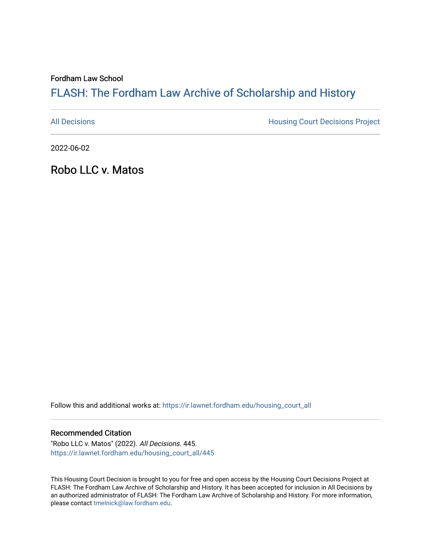Fordham Law School

# FLASH: The For[dham Law Archive of Scholarship and Hist](https://ir.lawnet.fordham.edu/)ory

[All Decisions](https://ir.lawnet.fordham.edu/housing_court_all) **All Decisions All Decisions** Project

2022-06-02

Robo LLC v. Matos

Follow this and additional works at: [https://ir.lawnet.fordham.edu/housing\\_court\\_all](https://ir.lawnet.fordham.edu/housing_court_all?utm_source=ir.lawnet.fordham.edu%2Fhousing_court_all%2F445&utm_medium=PDF&utm_campaign=PDFCoverPages)

#### Recommended Citation

"Robo LLC v. Matos" (2022). All Decisions. 445. [https://ir.lawnet.fordham.edu/housing\\_court\\_all/445](https://ir.lawnet.fordham.edu/housing_court_all/445?utm_source=ir.lawnet.fordham.edu%2Fhousing_court_all%2F445&utm_medium=PDF&utm_campaign=PDFCoverPages)

This Housing Court Decision is brought to you for free and open access by the Housing Court Decisions Project at FLASH: The Fordham Law Archive of Scholarship and History. It has been accepted for inclusion in All Decisions by an authorized administrator of FLASH: The Fordham Law Archive of Scholarship and History. For more information, please contact [tmelnick@law.fordham.edu](mailto:tmelnick@law.fordham.edu).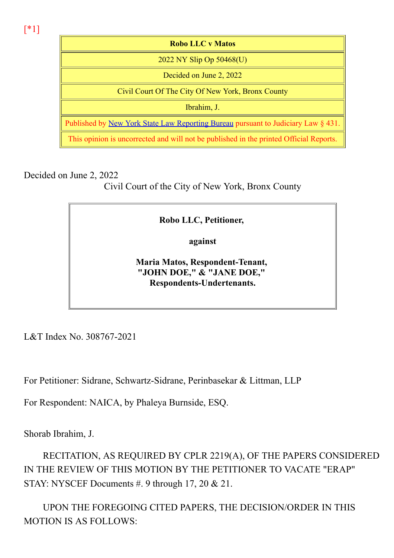[\*1]

Robo LLC v Matos 2022 NY Slip Op 50468(U) Decided on June 2, 2022 Civil Court Of The City Of New York, Bronx County Ibrahim, J. Published by New York State Law Reporting Bureau pursuant to Judiciary Law § 431. This opinion is uncorrected and will not be published in the printed Official Reports.

Decided on June 2, 2022

Civil Court of the City of New York, Bronx County

## Robo LLC, Petitioner,

against

Maria Matos, Respondent-Tenant, "JOHN DOE," & "JANE DOE," Respondents-Undertenants.

L&T Index No. 308767-2021

For Petitioner: Sidrane, Schwartz-Sidrane, Perinbasekar & Littman, LLP

For Respondent: NAICA, by Phaleya Burnside, ESQ.

Shorab Ibrahim, J.

RECITATION, AS REQUIRED BY CPLR 2219(A), OF THE PAPERS CONSIDERED IN THE REVIEW OF THIS MOTION BY THE PETITIONER TO VACATE "ERAP" STAY: NYSCEF Documents #. 9 through 17, 20 & 21.

UPON THE FOREGOING CITED PAPERS, THE DECISION/ORDER IN THIS MOTION IS AS FOLLOWS: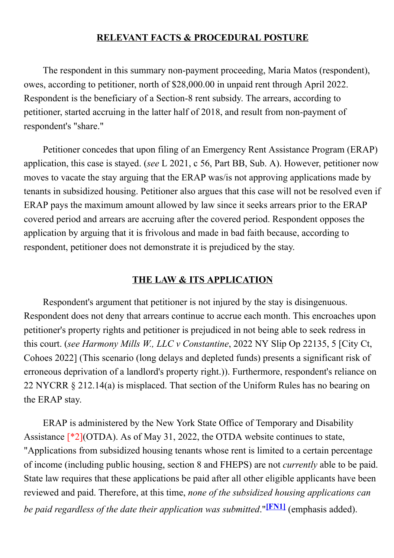### RELEVANT FACTS & PROCEDURAL POSTURE

The respondent in this summary non-payment proceeding, Maria Matos (respondent), owes, according to petitioner, north of \$28,000.00 in unpaid rent through April 2022. Respondent is the beneficiary of a Section-8 rent subsidy. The arrears, according to petitioner, started accruing in the latter half of 2018, and result from non-payment of respondent's "share."

Petitioner concedes that upon filing of an Emergency Rent Assistance Program (ERAP) application, this case is stayed. (see L 2021, c 56, Part BB, Sub. A). However, petitioner now moves to vacate the stay arguing that the ERAP was/is not approving applications made by tenants in subsidized housing. Petitioner also argues that this case will not be resolved even if ERAP pays the maximum amount allowed by law since it seeks arrears prior to the ERAP covered period and arrears are accruing after the covered period. Respondent opposes the application by arguing that it is frivolous and made in bad faith because, according to respondent, petitioner does not demonstrate it is prejudiced by the stay.

### THE LAW & ITS APPLICATION

Respondent's argument that petitioner is not injured by the stay is disingenuous. Respondent does not deny that arrears continue to accrue each month. This encroaches upon petitioner's property rights and petitioner is prejudiced in not being able to seek redress in this court. (see Harmony Mills W., LLC v Constantine, 2022 NY Slip Op 22135, 5 [City Ct, Cohoes 2022] (This scenario (long delays and depleted funds) presents a significant risk of erroneous deprivation of a landlord's property right.)). Furthermore, respondent's reliance on 22 NYCRR § 212.14(a) is misplaced. That section of the Uniform Rules has no bearing on the ERAP stay.

ERAP is administered by the New York State Office of Temporary and Disability Assistance [\*2](OTDA). As of May 31, 2022, the OTDA website continues to state, "Applications from subsidized housing tenants whose rent is limited to a certain percentage of income (including public housing, section 8 and FHEPS) are not currently able to be paid. State law requires that these applications be paid after all other eligible applicants have been reviewed and paid. Therefore, at this time, none of the subsidized housing applications can be paid regardless of the date their application was submitted."<sup>[FN1]</sup> (emphasis added).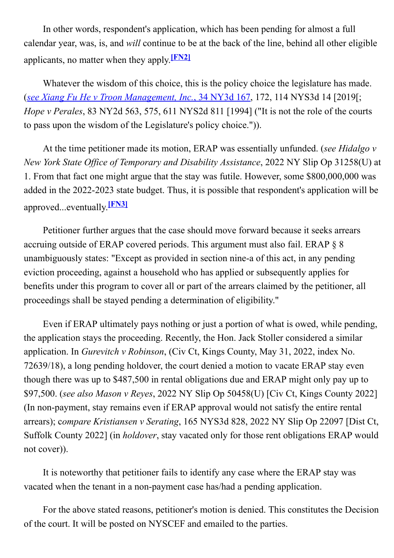In other words, respondent's application, which has been pending for almost a full calendar year, was, is, and will continue to be at the back of the line, behind all other eligible applicants, no matter when they apply. $[FN2]$ 

Whatever the wisdom of this choice, this is the policy choice the legislature has made. (see Xiang Fu He v Troon Management, Inc., 34 NY3d 167, 172, 114 NYS3d 14 [2019[; Hope v Perales, 83 NY2d 563, 575, 611 NYS2d 811 [1994] ("It is not the role of the courts to pass upon the wisdom of the Legislature's policy choice.")).

At the time petitioner made its motion, ERAP was essentially unfunded. (see Hidalgo v New York State Office of Temporary and Disability Assistance, 2022 NY Slip Op 31258(U) at 1. From that fact one might argue that the stay was futile. However, some \$800,000,000 was added in the 2022-2023 state budget. Thus, it is possible that respondent's application will be approved...eventually.<sup>[FN3]</sup>

Petitioner further argues that the case should move forward because it seeks arrears accruing outside of ERAP covered periods. This argument must also fail. ERAP § 8 unambiguously states: "Except as provided in section nine-a of this act, in any pending eviction proceeding, against a household who has applied or subsequently applies for benefits under this program to cover all or part of the arrears claimed by the petitioner, all proceedings shall be stayed pending a determination of eligibility."

Even if ERAP ultimately pays nothing or just a portion of what is owed, while pending, the application stays the proceeding. Recently, the Hon. Jack Stoller considered a similar application. In Gurevitch v Robinson, (Civ Ct, Kings County, May 31, 2022, index No. 72639/18), a long pending holdover, the court denied a motion to vacate ERAP stay even though there was up to \$487,500 in rental obligations due and ERAP might only pay up to \$97,500. (see also Mason v Reyes, 2022 NY Slip Op 50458(U) [Civ Ct, Kings County 2022] (In non-payment, stay remains even if ERAP approval would not satisfy the entire rental arrears); compare Kristiansen v Serating, 165 NYS3d 828, 2022 NY Slip Op 22097 [Dist Ct, Suffolk County 2022] (in holdover, stay vacated only for those rent obligations ERAP would not cover)).

It is noteworthy that petitioner fails to identify any case where the ERAP stay was vacated when the tenant in a non-payment case has/had a pending application.

For the above stated reasons, petitioner's motion is denied. This constitutes the Decision of the court. It will be posted on NYSCEF and emailed to the parties.